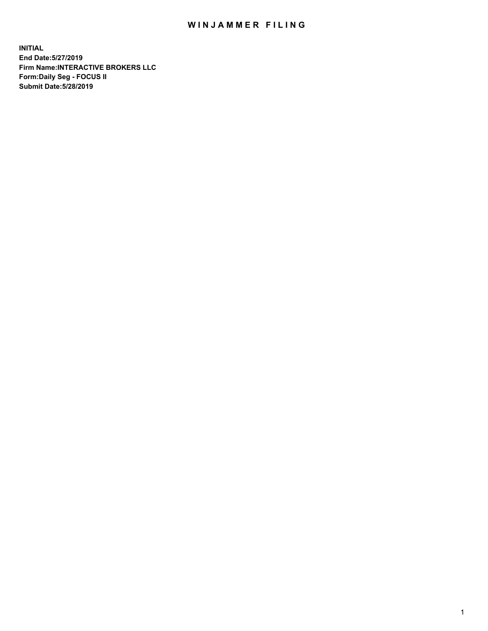## WIN JAMMER FILING

**INITIAL End Date:5/27/2019 Firm Name:INTERACTIVE BROKERS LLC Form:Daily Seg - FOCUS II Submit Date:5/28/2019**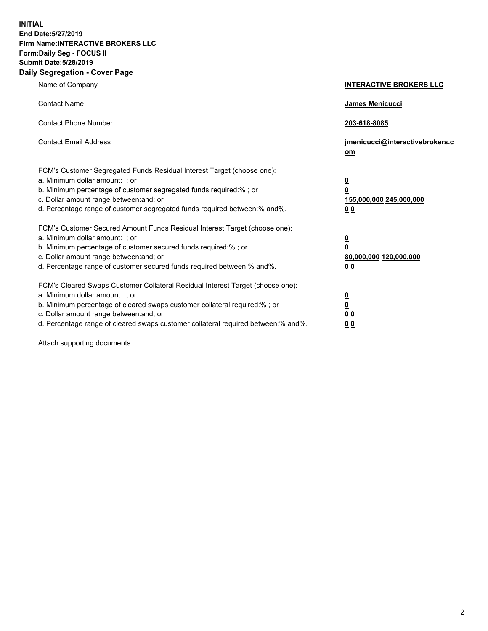**INITIAL End Date:5/27/2019 Firm Name:INTERACTIVE BROKERS LLC Form:Daily Seg - FOCUS II Submit Date:5/28/2019 Daily Segregation - Cover Page**

| Name of Company                                                                                                                                                                                                                                                                                                                | <b>INTERACTIVE BROKERS LLC</b>                                                   |
|--------------------------------------------------------------------------------------------------------------------------------------------------------------------------------------------------------------------------------------------------------------------------------------------------------------------------------|----------------------------------------------------------------------------------|
| <b>Contact Name</b>                                                                                                                                                                                                                                                                                                            | James Menicucci                                                                  |
| <b>Contact Phone Number</b>                                                                                                                                                                                                                                                                                                    | 203-618-8085                                                                     |
| <b>Contact Email Address</b>                                                                                                                                                                                                                                                                                                   | jmenicucci@interactivebrokers.c<br>om                                            |
| FCM's Customer Segregated Funds Residual Interest Target (choose one):<br>a. Minimum dollar amount: ; or<br>b. Minimum percentage of customer segregated funds required:% ; or<br>c. Dollar amount range between: and; or<br>d. Percentage range of customer segregated funds required between:% and%.                         | <u>0</u><br>$\overline{\mathbf{0}}$<br>155,000,000 245,000,000<br>0 <sub>0</sub> |
| FCM's Customer Secured Amount Funds Residual Interest Target (choose one):<br>a. Minimum dollar amount: ; or<br>b. Minimum percentage of customer secured funds required:% ; or<br>c. Dollar amount range between: and; or<br>d. Percentage range of customer secured funds required between:% and%.                           | <u>0</u><br>$\overline{\mathbf{0}}$<br>80,000,000 120,000,000<br>0 <sub>0</sub>  |
| FCM's Cleared Swaps Customer Collateral Residual Interest Target (choose one):<br>a. Minimum dollar amount: ; or<br>b. Minimum percentage of cleared swaps customer collateral required:% ; or<br>c. Dollar amount range between: and; or<br>d. Percentage range of cleared swaps customer collateral required between:% and%. | <u>0</u><br>$\underline{\mathbf{0}}$<br>0 <sub>0</sub><br>0 <sub>0</sub>         |

Attach supporting documents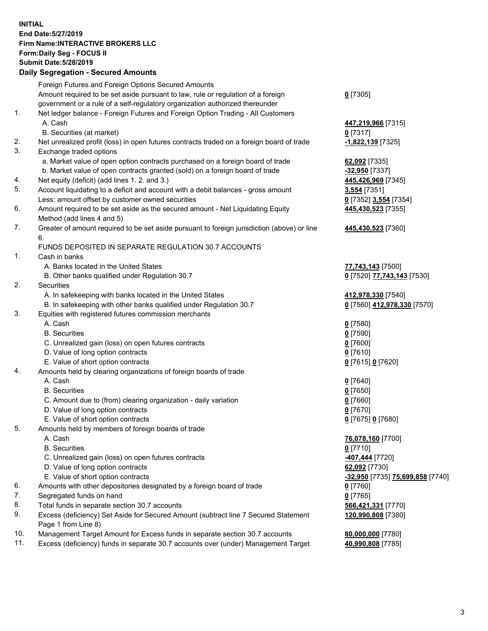## **INITIAL End Date:5/27/2019 Firm Name:INTERACTIVE BROKERS LLC Form:Daily Seg - FOCUS II Submit Date:5/28/2019 Daily Segregation - Secured Amounts**

| Foreign Futures and Foreign Options Secured Amounts                                         |                                                                                                                                                                                                                                                                                                                                                                                                                                                                                                                                                                                                                                                                                                                                                                                                                                                                                                                                                                                                                                                                                                                                                                                                                                                                                                                                                                             |
|---------------------------------------------------------------------------------------------|-----------------------------------------------------------------------------------------------------------------------------------------------------------------------------------------------------------------------------------------------------------------------------------------------------------------------------------------------------------------------------------------------------------------------------------------------------------------------------------------------------------------------------------------------------------------------------------------------------------------------------------------------------------------------------------------------------------------------------------------------------------------------------------------------------------------------------------------------------------------------------------------------------------------------------------------------------------------------------------------------------------------------------------------------------------------------------------------------------------------------------------------------------------------------------------------------------------------------------------------------------------------------------------------------------------------------------------------------------------------------------|
| Amount required to be set aside pursuant to law, rule or regulation of a foreign            | $0$ [7305]                                                                                                                                                                                                                                                                                                                                                                                                                                                                                                                                                                                                                                                                                                                                                                                                                                                                                                                                                                                                                                                                                                                                                                                                                                                                                                                                                                  |
| government or a rule of a self-regulatory organization authorized thereunder                |                                                                                                                                                                                                                                                                                                                                                                                                                                                                                                                                                                                                                                                                                                                                                                                                                                                                                                                                                                                                                                                                                                                                                                                                                                                                                                                                                                             |
| Net ledger balance - Foreign Futures and Foreign Option Trading - All Customers             |                                                                                                                                                                                                                                                                                                                                                                                                                                                                                                                                                                                                                                                                                                                                                                                                                                                                                                                                                                                                                                                                                                                                                                                                                                                                                                                                                                             |
| A. Cash                                                                                     | 447,219,966 [7315]                                                                                                                                                                                                                                                                                                                                                                                                                                                                                                                                                                                                                                                                                                                                                                                                                                                                                                                                                                                                                                                                                                                                                                                                                                                                                                                                                          |
| B. Securities (at market)                                                                   | $0$ [7317]                                                                                                                                                                                                                                                                                                                                                                                                                                                                                                                                                                                                                                                                                                                                                                                                                                                                                                                                                                                                                                                                                                                                                                                                                                                                                                                                                                  |
| Net unrealized profit (loss) in open futures contracts traded on a foreign board of trade   | -1,822,139 [7325]                                                                                                                                                                                                                                                                                                                                                                                                                                                                                                                                                                                                                                                                                                                                                                                                                                                                                                                                                                                                                                                                                                                                                                                                                                                                                                                                                           |
| Exchange traded options                                                                     |                                                                                                                                                                                                                                                                                                                                                                                                                                                                                                                                                                                                                                                                                                                                                                                                                                                                                                                                                                                                                                                                                                                                                                                                                                                                                                                                                                             |
| a. Market value of open option contracts purchased on a foreign board of trade              | 62,092 [7335]                                                                                                                                                                                                                                                                                                                                                                                                                                                                                                                                                                                                                                                                                                                                                                                                                                                                                                                                                                                                                                                                                                                                                                                                                                                                                                                                                               |
|                                                                                             | -32,950 [7337]                                                                                                                                                                                                                                                                                                                                                                                                                                                                                                                                                                                                                                                                                                                                                                                                                                                                                                                                                                                                                                                                                                                                                                                                                                                                                                                                                              |
|                                                                                             | 445,426,969 [7345]                                                                                                                                                                                                                                                                                                                                                                                                                                                                                                                                                                                                                                                                                                                                                                                                                                                                                                                                                                                                                                                                                                                                                                                                                                                                                                                                                          |
| Account liquidating to a deficit and account with a debit balances - gross amount           | 3,554 [7351]                                                                                                                                                                                                                                                                                                                                                                                                                                                                                                                                                                                                                                                                                                                                                                                                                                                                                                                                                                                                                                                                                                                                                                                                                                                                                                                                                                |
| Less: amount offset by customer owned securities                                            | 0 [7352] 3,554 [7354]                                                                                                                                                                                                                                                                                                                                                                                                                                                                                                                                                                                                                                                                                                                                                                                                                                                                                                                                                                                                                                                                                                                                                                                                                                                                                                                                                       |
| Amount required to be set aside as the secured amount - Net Liquidating Equity              | 445,430,523 [7355]                                                                                                                                                                                                                                                                                                                                                                                                                                                                                                                                                                                                                                                                                                                                                                                                                                                                                                                                                                                                                                                                                                                                                                                                                                                                                                                                                          |
| Method (add lines 4 and 5)                                                                  |                                                                                                                                                                                                                                                                                                                                                                                                                                                                                                                                                                                                                                                                                                                                                                                                                                                                                                                                                                                                                                                                                                                                                                                                                                                                                                                                                                             |
| Greater of amount required to be set aside pursuant to foreign jurisdiction (above) or line | 445,430,523 [7360]                                                                                                                                                                                                                                                                                                                                                                                                                                                                                                                                                                                                                                                                                                                                                                                                                                                                                                                                                                                                                                                                                                                                                                                                                                                                                                                                                          |
| 6.                                                                                          |                                                                                                                                                                                                                                                                                                                                                                                                                                                                                                                                                                                                                                                                                                                                                                                                                                                                                                                                                                                                                                                                                                                                                                                                                                                                                                                                                                             |
| FUNDS DEPOSITED IN SEPARATE REGULATION 30.7 ACCOUNTS                                        |                                                                                                                                                                                                                                                                                                                                                                                                                                                                                                                                                                                                                                                                                                                                                                                                                                                                                                                                                                                                                                                                                                                                                                                                                                                                                                                                                                             |
| Cash in banks                                                                               |                                                                                                                                                                                                                                                                                                                                                                                                                                                                                                                                                                                                                                                                                                                                                                                                                                                                                                                                                                                                                                                                                                                                                                                                                                                                                                                                                                             |
| A. Banks located in the United States                                                       | 77,743,143 [7500]                                                                                                                                                                                                                                                                                                                                                                                                                                                                                                                                                                                                                                                                                                                                                                                                                                                                                                                                                                                                                                                                                                                                                                                                                                                                                                                                                           |
| B. Other banks qualified under Regulation 30.7                                              | 0 [7520] 77,743,143 [7530]                                                                                                                                                                                                                                                                                                                                                                                                                                                                                                                                                                                                                                                                                                                                                                                                                                                                                                                                                                                                                                                                                                                                                                                                                                                                                                                                                  |
| Securities                                                                                  |                                                                                                                                                                                                                                                                                                                                                                                                                                                                                                                                                                                                                                                                                                                                                                                                                                                                                                                                                                                                                                                                                                                                                                                                                                                                                                                                                                             |
| A. In safekeeping with banks located in the United States                                   | 412,978,330 [7540]                                                                                                                                                                                                                                                                                                                                                                                                                                                                                                                                                                                                                                                                                                                                                                                                                                                                                                                                                                                                                                                                                                                                                                                                                                                                                                                                                          |
|                                                                                             | 0 [7560] 412,978,330 [7570]                                                                                                                                                                                                                                                                                                                                                                                                                                                                                                                                                                                                                                                                                                                                                                                                                                                                                                                                                                                                                                                                                                                                                                                                                                                                                                                                                 |
|                                                                                             |                                                                                                                                                                                                                                                                                                                                                                                                                                                                                                                                                                                                                                                                                                                                                                                                                                                                                                                                                                                                                                                                                                                                                                                                                                                                                                                                                                             |
|                                                                                             | $0$ [7580]                                                                                                                                                                                                                                                                                                                                                                                                                                                                                                                                                                                                                                                                                                                                                                                                                                                                                                                                                                                                                                                                                                                                                                                                                                                                                                                                                                  |
| <b>B.</b> Securities                                                                        | $0$ [7590]                                                                                                                                                                                                                                                                                                                                                                                                                                                                                                                                                                                                                                                                                                                                                                                                                                                                                                                                                                                                                                                                                                                                                                                                                                                                                                                                                                  |
|                                                                                             | $0$ [7600]                                                                                                                                                                                                                                                                                                                                                                                                                                                                                                                                                                                                                                                                                                                                                                                                                                                                                                                                                                                                                                                                                                                                                                                                                                                                                                                                                                  |
|                                                                                             | $0$ [7610]                                                                                                                                                                                                                                                                                                                                                                                                                                                                                                                                                                                                                                                                                                                                                                                                                                                                                                                                                                                                                                                                                                                                                                                                                                                                                                                                                                  |
|                                                                                             | 0 [7615] 0 [7620]                                                                                                                                                                                                                                                                                                                                                                                                                                                                                                                                                                                                                                                                                                                                                                                                                                                                                                                                                                                                                                                                                                                                                                                                                                                                                                                                                           |
|                                                                                             |                                                                                                                                                                                                                                                                                                                                                                                                                                                                                                                                                                                                                                                                                                                                                                                                                                                                                                                                                                                                                                                                                                                                                                                                                                                                                                                                                                             |
|                                                                                             | $0$ [7640]                                                                                                                                                                                                                                                                                                                                                                                                                                                                                                                                                                                                                                                                                                                                                                                                                                                                                                                                                                                                                                                                                                                                                                                                                                                                                                                                                                  |
|                                                                                             | $0$ [7650]                                                                                                                                                                                                                                                                                                                                                                                                                                                                                                                                                                                                                                                                                                                                                                                                                                                                                                                                                                                                                                                                                                                                                                                                                                                                                                                                                                  |
|                                                                                             | $0$ [7660]                                                                                                                                                                                                                                                                                                                                                                                                                                                                                                                                                                                                                                                                                                                                                                                                                                                                                                                                                                                                                                                                                                                                                                                                                                                                                                                                                                  |
|                                                                                             | $0$ [7670]                                                                                                                                                                                                                                                                                                                                                                                                                                                                                                                                                                                                                                                                                                                                                                                                                                                                                                                                                                                                                                                                                                                                                                                                                                                                                                                                                                  |
|                                                                                             | 0 [7675] 0 [7680]                                                                                                                                                                                                                                                                                                                                                                                                                                                                                                                                                                                                                                                                                                                                                                                                                                                                                                                                                                                                                                                                                                                                                                                                                                                                                                                                                           |
|                                                                                             |                                                                                                                                                                                                                                                                                                                                                                                                                                                                                                                                                                                                                                                                                                                                                                                                                                                                                                                                                                                                                                                                                                                                                                                                                                                                                                                                                                             |
|                                                                                             | 76,078,160 [7700]                                                                                                                                                                                                                                                                                                                                                                                                                                                                                                                                                                                                                                                                                                                                                                                                                                                                                                                                                                                                                                                                                                                                                                                                                                                                                                                                                           |
|                                                                                             | $0$ [7710]                                                                                                                                                                                                                                                                                                                                                                                                                                                                                                                                                                                                                                                                                                                                                                                                                                                                                                                                                                                                                                                                                                                                                                                                                                                                                                                                                                  |
|                                                                                             | -407,444 [7720]                                                                                                                                                                                                                                                                                                                                                                                                                                                                                                                                                                                                                                                                                                                                                                                                                                                                                                                                                                                                                                                                                                                                                                                                                                                                                                                                                             |
|                                                                                             | 62,092 [7730]                                                                                                                                                                                                                                                                                                                                                                                                                                                                                                                                                                                                                                                                                                                                                                                                                                                                                                                                                                                                                                                                                                                                                                                                                                                                                                                                                               |
|                                                                                             | <mark>-32,950</mark> [7735] <mark>75,699,858</mark> [7740]                                                                                                                                                                                                                                                                                                                                                                                                                                                                                                                                                                                                                                                                                                                                                                                                                                                                                                                                                                                                                                                                                                                                                                                                                                                                                                                  |
|                                                                                             | 0 [7760]                                                                                                                                                                                                                                                                                                                                                                                                                                                                                                                                                                                                                                                                                                                                                                                                                                                                                                                                                                                                                                                                                                                                                                                                                                                                                                                                                                    |
|                                                                                             | $0$ [7765]                                                                                                                                                                                                                                                                                                                                                                                                                                                                                                                                                                                                                                                                                                                                                                                                                                                                                                                                                                                                                                                                                                                                                                                                                                                                                                                                                                  |
|                                                                                             | 566,421,331 [7770]                                                                                                                                                                                                                                                                                                                                                                                                                                                                                                                                                                                                                                                                                                                                                                                                                                                                                                                                                                                                                                                                                                                                                                                                                                                                                                                                                          |
|                                                                                             | 120,990,808 [7380]                                                                                                                                                                                                                                                                                                                                                                                                                                                                                                                                                                                                                                                                                                                                                                                                                                                                                                                                                                                                                                                                                                                                                                                                                                                                                                                                                          |
|                                                                                             |                                                                                                                                                                                                                                                                                                                                                                                                                                                                                                                                                                                                                                                                                                                                                                                                                                                                                                                                                                                                                                                                                                                                                                                                                                                                                                                                                                             |
|                                                                                             | 80,000,000 [7780]                                                                                                                                                                                                                                                                                                                                                                                                                                                                                                                                                                                                                                                                                                                                                                                                                                                                                                                                                                                                                                                                                                                                                                                                                                                                                                                                                           |
|                                                                                             | 40,990,808 [7785]                                                                                                                                                                                                                                                                                                                                                                                                                                                                                                                                                                                                                                                                                                                                                                                                                                                                                                                                                                                                                                                                                                                                                                                                                                                                                                                                                           |
|                                                                                             | Daily Ocglegation - Occured Anioants<br>b. Market value of open contracts granted (sold) on a foreign board of trade<br>Net equity (deficit) (add lines 1.2. and 3.)<br>B. In safekeeping with other banks qualified under Regulation 30.7<br>Equities with registered futures commission merchants<br>A. Cash<br>C. Unrealized gain (loss) on open futures contracts<br>D. Value of long option contracts<br>E. Value of short option contracts<br>Amounts held by clearing organizations of foreign boards of trade<br>A. Cash<br><b>B.</b> Securities<br>C. Amount due to (from) clearing organization - daily variation<br>D. Value of long option contracts<br>E. Value of short option contracts<br>Amounts held by members of foreign boards of trade<br>A. Cash<br><b>B.</b> Securities<br>C. Unrealized gain (loss) on open futures contracts<br>D. Value of long option contracts<br>E. Value of short option contracts<br>Amounts with other depositories designated by a foreign board of trade<br>Segregated funds on hand<br>Total funds in separate section 30.7 accounts<br>Excess (deficiency) Set Aside for Secured Amount (subtract line 7 Secured Statement<br>Page 1 from Line 8)<br>Management Target Amount for Excess funds in separate section 30.7 accounts<br>Excess (deficiency) funds in separate 30.7 accounts over (under) Management Target |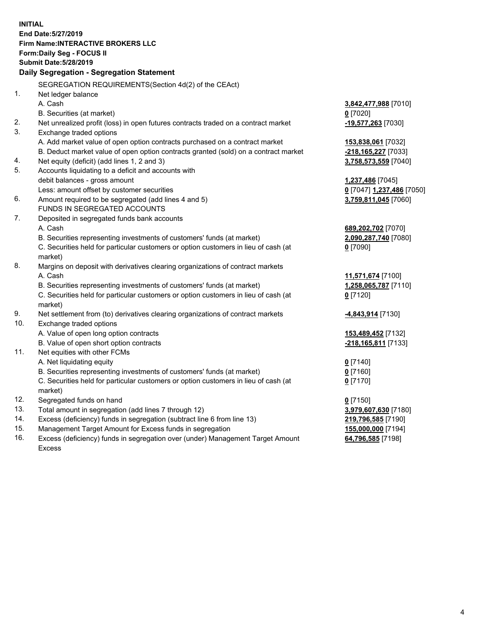**INITIAL End Date:5/27/2019 Firm Name:INTERACTIVE BROKERS LLC Form:Daily Seg - FOCUS II Submit Date:5/28/2019 Daily Segregation - Segregation Statement** SEGREGATION REQUIREMENTS(Section 4d(2) of the CEAct) 1. Net ledger balance A. Cash **3,842,477,988** [7010] B. Securities (at market) **0** [7020] 2. Net unrealized profit (loss) in open futures contracts traded on a contract market **-19,577,263** [7030] 3. Exchange traded options A. Add market value of open option contracts purchased on a contract market **153,838,061** [7032] B. Deduct market value of open option contracts granted (sold) on a contract market **-218,165,227** [7033] 4. Net equity (deficit) (add lines 1, 2 and 3) **3,758,573,559** [7040] 5. Accounts liquidating to a deficit and accounts with debit balances - gross amount **1,237,486** [7045] Less: amount offset by customer securities **0** [7047] **1,237,486** [7050] 6. Amount required to be segregated (add lines 4 and 5) **3,759,811,045** [7060] FUNDS IN SEGREGATED ACCOUNTS 7. Deposited in segregated funds bank accounts A. Cash **689,202,702** [7070] B. Securities representing investments of customers' funds (at market) **2,090,287,740** [7080] C. Securities held for particular customers or option customers in lieu of cash (at market) **0** [7090] 8. Margins on deposit with derivatives clearing organizations of contract markets A. Cash **11,571,674** [7100] B. Securities representing investments of customers' funds (at market) **1,258,065,787** [7110] C. Securities held for particular customers or option customers in lieu of cash (at market) **0** [7120] 9. Net settlement from (to) derivatives clearing organizations of contract markets **-4,843,914** [7130] 10. Exchange traded options A. Value of open long option contracts **153,489,452** [7132] B. Value of open short option contracts **-218,165,811** [7133] 11. Net equities with other FCMs A. Net liquidating equity **0** [7140] B. Securities representing investments of customers' funds (at market) **0** [7160] C. Securities held for particular customers or option customers in lieu of cash (at market) **0** [7170] 12. Segregated funds on hand **0** [7150] 13. Total amount in segregation (add lines 7 through 12) **3,979,607,630** [7180] 14. Excess (deficiency) funds in segregation (subtract line 6 from line 13) **219,796,585** [7190] 15. Management Target Amount for Excess funds in segregation **155,000,000** [7194]

16. Excess (deficiency) funds in segregation over (under) Management Target Amount Excess

**64,796,585** [7198]